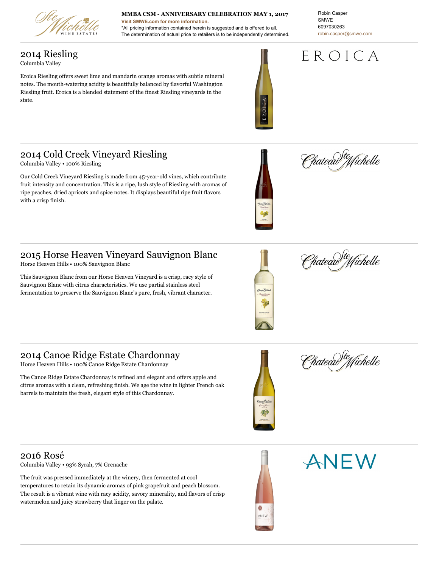

#### **MMBA CSM - ANNIVERSARY CELEBRATION MAY 1, 2017**

**Visit [SMWE.com](http://www.smwe.com) for more information.** \*All pricing information contained herein is suggested and is offered to all. The determination of actual price to retailers is to be independently determined. Robin Casper SMWE 6097030263 [robin.casper@smwe.com](mailto:robin.casper@smwe.com)

# EROICA

2014 Riesling Columbia Valley

Eroica Riesling offers sweet lime and mandarin orange aromas with subtle mineral notes. The mouth-watering acidity is beautifully balanced by flavorful Washington Riesling fruit. Eroica is a blended statement of the finest Riesling vineyards in the state.





## 2014 Cold Creek Vineyard Riesling

Columbia Valley • 100% Riesling

Our Cold Creek Vineyard Riesling is made from 45-year-old vines, which contribute fruit intensity and concentration. This is a ripe, lush style of Riesling with aromas of ripe peaches, dried apricots and spice notes. It displays beautiful ripe fruit flavors with a crisp finish.



Horse Heaven Hills • 100% Sauvignon Blanc

This Sauvignon Blanc from our Horse Heaven Vineyard is a crisp, racy style of Sauvignon Blanc with citrus characteristics. We use partial stainless steel fermentation to preserve the Sauvignon Blanc's pure, fresh, vibrant character.



hateau<sup>) fte</sup>ffichelle

2014 Canoe Ridge Estate Chardonnay

Horse Heaven Hills • 100% Canoe Ridge Estate Chardonnay

The Canoe Ridge Estate Chardonnay is refined and elegant and offers apple and citrus aromas with a clean, refreshing finish. We age the wine in lighter French oak barrels to maintain the fresh, elegant style of this Chardonnay.



e<br>Chateau<sup>s fte</sup>ffichelle

2016 Rosé

Columbia Valley • 93% Syrah, 7% Grenache

The fruit was pressed immediately at the winery, then fermented at cool temperatures to retain its dynamic aromas of pink grapefruit and peach blossom. The result is a vibrant wine with racy acidity, savory minerality, and flavors of crisp watermelon and juicy strawberry that linger on the palate.



ANEW